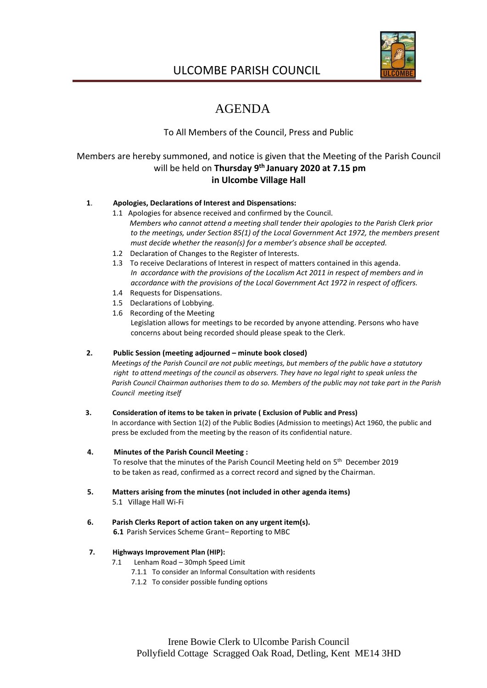

# ULCOMBE PARISH COUNCIL

# AGENDA

# To All Members of the Council, Press and Public

# Members are hereby summoned, and notice is given that the Meeting of the Parish Council will be held on **Thursday 9 th January 2020 at 7.15 pm in Ulcombe Village Hall**

# **1**. **Apologies, Declarations of Interest and Dispensations:**

- 1.1 Apologies for absence received and confirmed by the Council. *Members who cannot attend a meeting shall tender their apologies to the Parish Clerk prior to the meetings, under Section 85(1) of the Local Government Act 1972, the members present must decide whether the reason(s) for a member's absence shall be accepted.*
- 1.2 Declaration of Changes to the Register of Interests.
- 1.3 To receive Declarations of Interest in respect of matters contained in this agenda. *In accordance with the provisions of the Localism Act 2011 in respect of members and in accordance with the provisions of the Local Government Act 1972 in respect of officers.*
- 1.4 Requests for Dispensations.
- 1.5 Declarations of Lobbying.
- 1.6 Recording of the Meeting Legislation allows for meetings to be recorded by anyone attending. Persons who have concerns about being recorded should please speak to the Clerk.

# **2. Public Session (meeting adjourned – minute book closed)**

 *Meetings of the Parish Council are not public meetings, but members of the public have a statutory right to attend meetings of the council as observers. They have no legal right to speak unless the Parish Council Chairman authorises them to do so. Members of the public may not take part in the Parish Council meeting itself*

#### **3. Consideration of items to be taken in private ( Exclusion of Public and Press)**

 In accordance with Section 1(2) of the Public Bodies (Admission to meetings) Act 1960, the public and press be excluded from the meeting by the reason of its confidential nature.

#### **4. Minutes of the Parish Council Meeting :**

To resolve that the minutes of the Parish Council Meeting held on 5<sup>th</sup> December 2019 to be taken as read, confirmed as a correct record and signed by the Chairman.

- **5. Matters arising from the minutes (not included in other agenda items)** 5.1 Village Hall Wi-Fi
- **6. Parish Clerks Report of action taken on any urgent item(s). 6.1** Parish Services Scheme Grant– Reporting to MBC

#### **7. Highways Improvement Plan (HIP):**

- 7.1 Lenham Road 30mph Speed Limit
	- 7.1.1 To consider an Informal Consultation with residents
	- 7.1.2 To consider possible funding options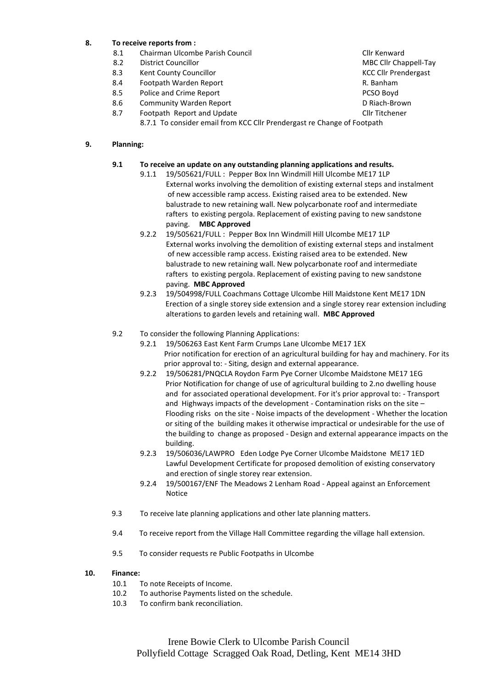# **8. To receive reports from :**

- 8.1 Chairman Ulcombe Parish Council Club Club Council Clir Kenward
- 8.2 District Councillor MBC Clif Chappell-Tay
- 8.3 Kent County Councillor Communication Council Council Council Council Council Council Council Council Council Council Council Council Council Council Council Council Council Council Council Council Council Council Counc
- 
- 8.4 Footpath Warden Report **Accord Engineering Contract Contract Contract Contract Contract Contract Contract Contract Contract Contract Contract Contract Contract Contract Contract Contract Contract Contract Contract Cont** Police and Crime Report
- 8.6 Community Warden Report **Community Warden Report** Community On Riach-Brown
- 8.7 Footpath Report and Update Clin Titchener Clin Titchener
	- 8.7.1 To consider email from KCC Cllr Prendergast re Change of Footpath

#### **9. Planning:**

#### **9.1 To receive an update on any outstanding planning applications and results.**

- 9.1.1 19/505621/FULL : Pepper Box Inn Windmill Hill Ulcombe ME17 1LP External works involving the demolition of existing external steps and instalment of new accessible ramp access. Existing raised area to be extended. New balustrade to new retaining wall. New polycarbonate roof and intermediate rafters to existing pergola. Replacement of existing paving to new sandstone paving. **MBC Approved**
- 9.2.2 19/505621/FULL : Pepper Box Inn Windmill Hill Ulcombe ME17 1LP External works involving the demolition of existing external steps and instalment of new accessible ramp access. Existing raised area to be extended. New balustrade to new retaining wall. New polycarbonate roof and intermediate rafters to existing pergola. Replacement of existing paving to new sandstone paving. **MBC Approved**
- 9.2.3 19/504998/FULL Coachmans Cottage Ulcombe Hill Maidstone Kent ME17 1DN Erection of a single storey side extension and a single storey rear extension including alterations to garden levels and retaining wall. **MBC Approved**

## 9.2 To consider the following Planning Applications:

- 9.2.1 19/506263 East Kent Farm Crumps Lane Ulcombe ME17 1EX Prior notification for erection of an agricultural building for hay and machinery. For its prior approval to: - Siting, design and external appearance.
- 9.2.2 19/506281/PNQCLA Roydon Farm Pye Corner Ulcombe Maidstone ME17 1EG Prior Notification for change of use of agricultural building to 2.no dwelling house and for associated operational development. For it's prior approval to: - Transport and Highways impacts of the development - Contamination risks on the site – Flooding risks on the site - Noise impacts of the development - Whether the location or siting of the building makes it otherwise impractical or undesirable for the use of the building to change as proposed - Design and external appearance impacts on the building.
- 9.2.3 19/506036/LAWPRO Eden Lodge Pye Corner Ulcombe Maidstone ME17 1ED Lawful Development Certificate for proposed demolition of existing conservatory and erection of single storey rear extension.
- 9.2.4 19/500167/ENF The Meadows 2 Lenham Road Appeal against an Enforcement Notice
- 9.3 To receive late planning applications and other late planning matters.
- 9.4 To receive report from the Village Hall Committee regarding the village hall extension.
- 9.5 To consider requests re Public Footpaths in Ulcombe

#### **10. Finance:**

- 10.1 To note Receipts of Income.
- 10.2 To authorise Payments listed on the schedule.
- 10.3 To confirm bank reconciliation.
- 
- 
-